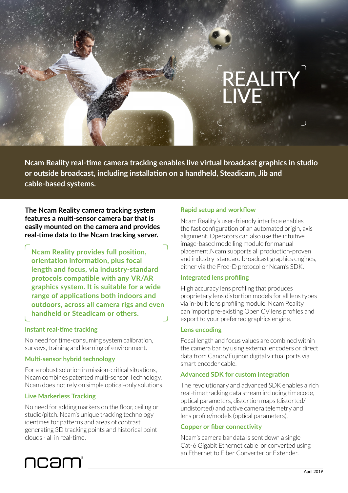# REALITY LIVE

**Ncam Reality real-time camera tracking enables live virtual broadcast graphics in studio or outside broadcast, including installation on a handheld, Steadicam, Jib and cable-based systems.**

**The Ncam Reality camera tracking system features a multi-sensor camera bar that is easily mounted on the camera and provides real-time data to the Ncam tracking server.**

**Ncam Reality provides full position, orientation information, plus focal length and focus, via industry-standard protocols compatible with any VR/AR graphics system. It is suitable for a wide range of applications both indoors and outdoors, across all camera rigs and even handheld or Steadicam or others.**

# **Instant real-time tracking**

No need for time-consuming system calibration, surveys, training and learning of environment.

# **Multi-sensor hybrid technology**

For a robust solution in mission-critical situations, Ncam combines patented multi-sensor Technology. Ncam does not rely on simple optical-only solutions.

# **Live Markerless Tracking**

ncam

No need for adding markers on the floor, ceiling or studio/pitch. Ncam's unique tracking technology identifies for patterns and areas of contrast generating 3D tracking points and historical point clouds - all in real-time.

# **Rapid setup and workflow**

Ncam Reality's user-friendly interface enables the fast configuration of an automated origin, axis alignment. Operators can also use the intuitive image-based modelling module for manual placement.Ncam supports all production-proven and industry-standard broadcast graphics engines, either via the Free-D protocol or Ncam's SDK.

# **Integrated lens profiling**

High accuracy lens profiling that produces proprietary lens distortion models for all lens types via in-built lens profiling module. Ncam Reality can import pre-existing Open CV lens profiles and export to your preferred graphics engine.

# **Lens encoding**

Focal length and focus values are combined within the camera bar by using external encoders or direct data from Canon/Fujinon digital virtual ports via smart encoder cable.

# **Advanced SDK for custom integration**

The revolutionary and advanced SDK enables a rich real-time tracking data stream including timecode, optical parameters, distortion maps (distorted/ undistorted) and active camera telemetry and lens profile/models (optical parameters).

# **Copper or fiber connectivity**

Ncam's camera bar data is sent down a single Cat-6 Gigabit Ethernet cable or converted using an Ethernet to Fiber Converter or Extender.